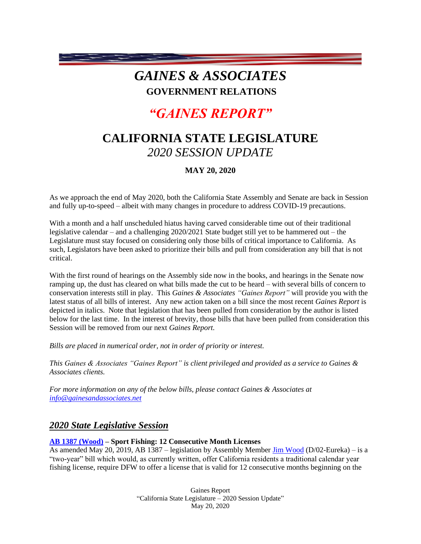## *GAINES & ASSOCIATES* **GOVERNMENT RELATIONS**

# *"GAINES REPORT"*

## **CALIFORNIA STATE LEGISLATURE** *2020 SESSION UPDATE*

## **MAY 20, 2020**

As we approach the end of May 2020, both the California State Assembly and Senate are back in Session and fully up-to-speed – albeit with many changes in procedure to address COVID-19 precautions.

With a month and a half unscheduled hiatus having carved considerable time out of their traditional legislative calendar – and a challenging 2020/2021 State budget still yet to be hammered out – the Legislature must stay focused on considering only those bills of critical importance to California. As such, Legislators have been asked to prioritize their bills and pull from consideration any bill that is not critical.

With the first round of hearings on the Assembly side now in the books, and hearings in the Senate now ramping up, the dust has cleared on what bills made the cut to be heard – with several bills of concern to conservation interests still in play. This *Gaines & Associates "Gaines Report"* will provide you with the latest status of all bills of interest. Any new action taken on a bill since the most recent *Gaines Report* is depicted in italics. Note that legislation that has been pulled from consideration by the author is listed below for the last time. In the interest of brevity, those bills that have been pulled from consideration this Session will be removed from our next *Gaines Report.*

*Bills are placed in numerical order, not in order of priority or interest.* 

*This Gaines & Associates "Gaines Report" is client privileged and provided as a service to Gaines & Associates clients.* 

*For more information on any of the below bills, please contact Gaines & Associates at [info@gainesandassociates.net](mailto:info@gainesandassociates.net)*

## *2020 State Legislative Session*

## **[AB 1387 \(Wood\)](http://leginfo.legislature.ca.gov/faces/billPdf.xhtml?bill_id=201920200AB1387&version=20190AB138798AMD) – Sport Fishing: 12 Consecutive Month Licenses**

As amended May 20, 2019, AB 1387 – legislation by Assembly Member [Jim Wood](https://a02.asmdc.org/) (D/02-Eureka) – is a "two-year" bill which would, as currently written, offer California residents a traditional calendar year fishing license, require DFW to offer a license that is valid for 12 consecutive months beginning on the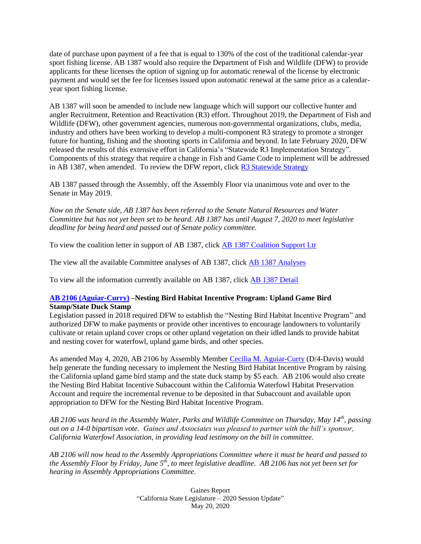date of purchase upon payment of a fee that is equal to 130% of the cost of the traditional calendar-year sport fishing license. AB 1387 would also require the Department of Fish and Wildlife (DFW) to provide applicants for these licenses the option of signing up for automatic renewal of the license by electronic payment and would set the fee for licenses issued upon automatic renewal at the same price as a calendaryear sport fishing license.

AB 1387 will soon be amended to include new language which will support our collective hunter and angler Recruitment, Retention and Reactivation (R3) effort. Throughout 2019, the Department of Fish and Wildlife (DFW), other government agencies, numerous non-governmental organizations, clubs, media, industry and others have been working to develop a multi-component R3 strategy to promote a stronger future for hunting, fishing and the shooting sports in California and beyond. In late February 2020, DFW released the results of this extensive effort in California's "Statewide R3 Implementation Strategy". Components of this strategy that require a change in Fish and Game Code to implement will be addressed in AB 1387, when amended. To review the DFW report, click [R3 Statewide Strategy](https://nrm.dfg.ca.gov/FileHandler.ashx?DocumentID=177571&inline)

AB 1387 passed through the Assembly, off the Assembly Floor via unanimous vote and over to the Senate in May 2019.

*Now on the Senate side, AB 1387 has been referred to the Senate Natural Resources and Water Committee but has not yet been set to be heard. AB 1387 has until August 7, 2020 to meet legislative deadline for being heard and passed out of Senate policy committee.* 

To view the coalition letter in support of AB 1387, click [AB 1387 Coalition Support Ltr](https://documentcloud.adobe.com/link/track?uri=urn%3Aaaid%3Ascds%3AUS%3Ace50dc6e-56b8-43c7-9f83-94c2ae4c1636)

The view all the available Committee analyses of AB 1387, click [AB 1387 Analyses](http://leginfo.legislature.ca.gov/faces/billAnalysisClient.xhtml?bill_id=201920200AB1387)

To view all the information currently available on AB 1387, click [AB 1387 Detail](http://leginfo.legislature.ca.gov/faces/billNavClient.xhtml?bill_id=201920200AB1387)

## **[AB 2106 \(Aguiar-Curry\)](http://leginfo.legislature.ca.gov/faces/billPdf.xhtml?bill_id=201920200AB2106&version=20190AB210698AMD) –Nesting Bird Habitat Incentive Program: Upland Game Bird Stamp/State Duck Stamp**

Legislation passed in 2018 required DFW to establish the "Nesting Bird Habitat Incentive Program" and authorized DFW to make payments or provide other incentives to encourage landowners to voluntarily cultivate or retain upland cover crops or other upland vegetation on their idled lands to provide habitat and nesting cover for waterfowl, upland game birds, and other species.

As amended May 4, 2020, AB 2106 by Assembly Member [Cecilia M. Aguiar-Curry](https://a04.asmdc.org/) (D/4-Davis) would help generate the funding necessary to implement the Nesting Bird Habitat Incentive Program by raising the California upland game bird stamp and the state duck stamp by \$5 each. AB 2106 would also create the Nesting Bird Habitat Incentive Subaccount within the California Waterfowl Habitat Preservation Account and require the incremental revenue to be deposited in that Subaccount and available upon appropriation to DFW for the Nesting Bird Habitat Incentive Program.

*AB 2106 was heard in the Assembly Water, Parks and Wildlife Committee on Thursday, May 14th, passing out on a 14-0 bipartisan vote. Gaines and Associates was pleased to partner with the bill's sponsor, California Waterfowl Association, in providing lead testimony on the bill in committee.*

*AB 2106 will now head to the Assembly Appropriations Committee where it must be heard and passed to the Assembly Floor by Friday, June 5th , to meet legislative deadline. AB 2106 has not yet been set for hearing in Assembly Appropriations Committee.*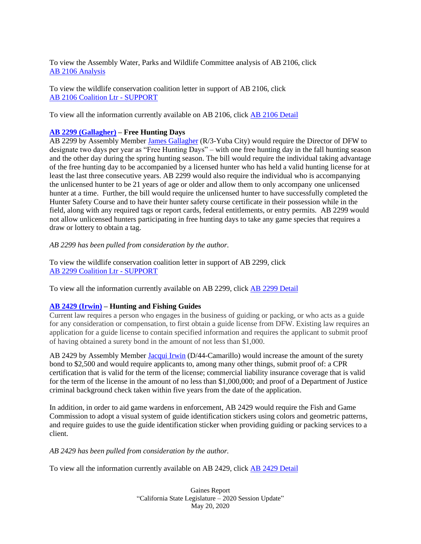To view the Assembly Water, Parks and Wildlife Committee analysis of AB 2106, click [AB 2106](http://leginfo.legislature.ca.gov/faces/billAnalysisClient.xhtml?bill_id=201920200AB2106) Analysis

To view the wildlife conservation coalition letter in support of AB 2106, click AB 2106 [Coalition Ltr -](https://documentcloud.adobe.com/link/track?uri=urn%3Aaaid%3Ascds%3AUS%3Ab4eec07f-a517-47d1-a9af-0279cb06709a) SUPPORT

To view all the information currently available on AB 2106, click [AB 2106](http://leginfo.legislature.ca.gov/faces/billNavClient.xhtml?bill_id=201920200AB2106) Detail

## **[AB 2299 \(Gallagher\)](http://leginfo.legislature.ca.gov/faces/billPdf.xhtml?bill_id=201920200AB2299&version=20190AB229999INT) – Free Hunting Days**

AB 2299 by Assembly Member [James Gallagher](http://ad03.asmrc.org/) (R/3-Yuba City) would require the Director of DFW to designate two days per year as "Free Hunting Days" – with one free hunting day in the fall hunting season and the other day during the spring hunting season. The bill would require the individual taking advantage of the free hunting day to be accompanied by a licensed hunter who has held a valid hunting license for at least the last three consecutive years. AB 2299 would also require the individual who is accompanying the unlicensed hunter to be 21 years of age or older and allow them to only accompany one unlicensed hunter at a time. Further, the bill would require the unlicensed hunter to have successfully completed the Hunter Safety Course and to have their hunter safety course certificate in their possession while in the field, along with any required tags or report cards, federal entitlements, or entry permits. AB 2299 would not allow unlicensed hunters participating in free hunting days to take any game species that requires a draw or lottery to obtain a tag.

*AB 2299 has been pulled from consideration by the author.*

To view the wildlife conservation coalition letter in support of AB 2299, click AB 2299 [Coalition Ltr -](https://documentcloud.adobe.com/link/track?uri=urn%3Aaaid%3Ascds%3AUS%3A1a5d9cfc-8a00-4803-a72a-6f75503d2791) SUPPORT

To view all the information currently available on AB 2299, click [AB 2299](http://leginfo.legislature.ca.gov/faces/billNavClient.xhtml?bill_id=201920200AB2299) Detail

## **[AB 2429 \(Irwin\)](http://leginfo.legislature.ca.gov/faces/billPdf.xhtml?bill_id=201920200AB2429&version=20190AB242999INT) – Hunting and Fishing Guides**

Current law requires a person who engages in the business of guiding or packing, or who acts as a guide for any consideration or compensation, to first obtain a guide license from DFW. Existing law requires an application for a guide license to contain specified information and requires the applicant to submit proof of having obtained a surety bond in the amount of not less than \$1,000.

AB 2429 by Assembly Member [Jacqui Irwin](https://a44.asmdc.org/) (D/44-Camarillo) would increase the amount of the surety bond to \$2,500 and would require applicants to, among many other things, submit proof of: a CPR certification that is valid for the term of the license; commercial liability insurance coverage that is valid for the term of the license in the amount of no less than \$1,000,000; and proof of a Department of Justice criminal background check taken within five years from the date of the application.

In addition, in order to aid game wardens in enforcement, AB 2429 would require the Fish and Game Commission to adopt a visual system of guide identification stickers using colors and geometric patterns, and require guides to use the guide identification sticker when providing guiding or packing services to a client.

*AB 2429 has been pulled from consideration by the author.*

To view all the information currently available on AB 2429, click [AB 2429](http://leginfo.legislature.ca.gov/faces/billNavClient.xhtml?bill_id=201920200AB2429) Detail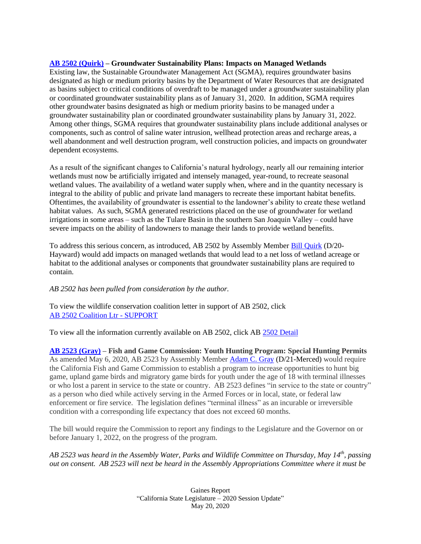#### **[AB 2502 \(Quirk\)](http://leginfo.legislature.ca.gov/faces/billPdf.xhtml?bill_id=201920200AB2502&version=20190AB250299INT) – Groundwater Sustainability Plans: Impacts on Managed Wetlands**

Existing law, the Sustainable Groundwater Management Act (SGMA), requires groundwater basins designated as high or medium priority basins by the Department of Water Resources that are designated as basins subject to critical conditions of overdraft to be managed under a groundwater sustainability plan or coordinated groundwater sustainability plans as of January 31, 2020. In addition, SGMA requires other groundwater basins designated as high or medium priority basins to be managed under a groundwater sustainability plan or coordinated groundwater sustainability plans by January 31, 2022. Among other things, SGMA requires that groundwater sustainability plans include additional analyses or components, such as control of saline water intrusion, wellhead protection areas and recharge areas, a well abandonment and well destruction program, well construction policies, and impacts on groundwater dependent ecosystems.

As a result of the significant changes to California's natural hydrology, nearly all our remaining interior wetlands must now be artificially irrigated and intensely managed, year-round, to recreate seasonal wetland values. The availability of a wetland water supply when, where and in the quantity necessary is integral to the ability of public and private land managers to recreate these important habitat benefits. Oftentimes, the availability of groundwater is essential to the landowner's ability to create these wetland habitat values. As such, SGMA generated restrictions placed on the use of groundwater for wetland irrigations in some areas – such as the Tulare Basin in the southern San Joaquin Valley – could have severe impacts on the ability of landowners to manage their lands to provide wetland benefits.

To address this serious concern, as introduced, AB 2502 by Assembly Member **Bill Quirk (D**/20-Hayward) would add impacts on managed wetlands that would lead to a net loss of wetland acreage or habitat to the additional analyses or components that groundwater sustainability plans are required to contain.

## *AB 2502 has been pulled from consideration by the author.*

To view the wildlife conservation coalition letter in support of AB 2502, click [AB 2502 Coalition Ltr -](https://documentcloud.adobe.com/link/track?uri=urn%3Aaaid%3Ascds%3AUS%3A6f524613-10ec-4ad6-b477-3c9a8094e771) SUPPORT

To view all the information currently available on AB 2502, click AB [2502 Detail](http://leginfo.legislature.ca.gov/faces/billTextClient.xhtml?bill_id=201920200AB2502)

**[AB 2523 \(Gray\)](http://leginfo.legislature.ca.gov/faces/billPdf.xhtml?bill_id=201920200AB2523&version=20190AB252398AMD) – Fish and Game Commission: Youth Hunting Program: Special Hunting Permits** As amended May 6, 2020, AB 2523 by Assembly Member **Adam C. Gray (D/21-Merced)** would require the California Fish and Game Commission to establish a program to increase opportunities to hunt big game, upland game birds and migratory game birds for youth under the age of 18 with terminal illnesses or who lost a parent in service to the state or country. AB 2523 defines "in service to the state or country" as a person who died while actively serving in the Armed Forces or in local, state, or federal law enforcement or fire service. The legislation defines "terminal illness" as an incurable or irreversible condition with a corresponding life expectancy that does not exceed 60 months.

The bill would require the Commission to report any findings to the Legislature and the Governor on or before January 1, 2022, on the progress of the program.

*AB 2523 was heard in the Assembly Water, Parks and Wildlife Committee on Thursday, May 14th, passing out on consent. AB 2523 will next be heard in the Assembly Appropriations Committee where it must be*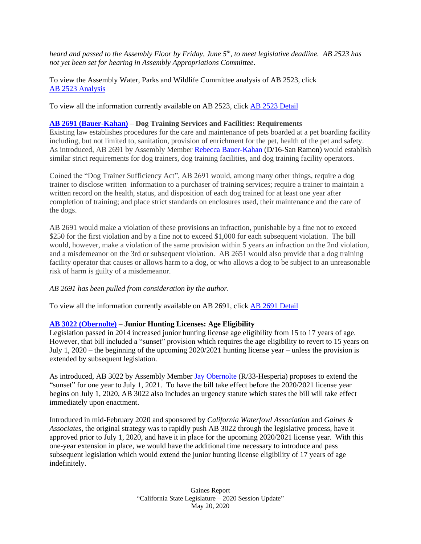*heard and passed to the Assembly Floor by Friday, June 5th , to meet legislative deadline. AB 2523 has not yet been set for hearing in Assembly Appropriations Committee.*

To view the Assembly Water, Parks and Wildlife Committee analysis of AB 2523, click [AB 2523](http://leginfo.legislature.ca.gov/faces/billAnalysisClient.xhtml?bill_id=201920200AB2523) Analysis

To view all the information currently available on AB 2523, click [AB 2523](http://leginfo.legislature.ca.gov/faces/billTextClient.xhtml?bill_id=201920200AB2523) Detail

#### **[AB 2691 \(Bauer-Kahan\)](http://leginfo.legislature.ca.gov/faces/billPdf.xhtml?bill_id=201920200AB2691&version=20190AB269199INT)** – **Dog Training Services and Facilities: Requirements**

Existing law establishes procedures for the care and maintenance of pets boarded at a pet boarding facility including, but not limited to, sanitation, provision of enrichment for the pet, health of the pet and safety. As introduced, AB 2691 by Assembly Member [Rebecca Bauer-Kahan](https://a16.asmdc.org/) (D/16-San Ramon) would establish similar strict requirements for dog trainers, dog training facilities, and dog training facility operators.

Coined the "Dog Trainer Sufficiency Act", AB 2691 would, among many other things, require a dog trainer to disclose written information to a purchaser of training services; require a trainer to maintain a written record on the health, status, and disposition of each dog trained for at least one year after completion of training; and place strict standards on enclosures used, their maintenance and the care of the dogs.

AB 2691 would make a violation of these provisions an infraction, punishable by a fine not to exceed \$250 for the first violation and by a fine not to exceed \$1,000 for each subsequent violation. The bill would, however, make a violation of the same provision within 5 years an infraction on the 2nd violation, and a misdemeanor on the 3rd or subsequent violation. AB 2651 would also provide that a dog training facility operator that causes or allows harm to a dog, or who allows a dog to be subject to an unreasonable risk of harm is guilty of a misdemeanor.

#### *AB 2691 has been pulled from consideration by the author.*

To view all the information currently available on AB 2691, click [AB 2691 Detail](http://leginfo.legislature.ca.gov/faces/billTextClient.xhtml?bill_id=201920200AB2691)

#### **[AB 3022 \(Obernolte\)](http://leginfo.legislature.ca.gov/faces/billPdf.xhtml?bill_id=201920200AB3022&version=20190AB302299INT) – Junior Hunting Licenses: Age Eligibility**

Legislation passed in 2014 increased junior hunting license age eligibility from 15 to 17 years of age. However, that bill included a "sunset" provision which requires the age eligibility to revert to 15 years on July 1, 2020 – the beginning of the upcoming 2020/2021 hunting license year – unless the provision is extended by subsequent legislation.

As introduced, AB 3022 by Assembly Member [Jay Obernolte](https://ad33.asmrc.org/) (R/33-Hesperia) proposes to extend the "sunset" for one year to July 1, 2021. To have the bill take effect before the 2020/2021 license year begins on July 1, 2020, AB 3022 also includes an urgency statute which states the bill will take effect immediately upon enactment.

Introduced in mid-February 2020 and sponsored by *California Waterfowl Association* and *Gaines & Associates*, the original strategy was to rapidly push AB 3022 through the legislative process, have it approved prior to July 1, 2020, and have it in place for the upcoming 2020/2021 license year. With this one-year extension in place, we would have the additional time necessary to introduce and pass subsequent legislation which would extend the junior hunting license eligibility of 17 years of age indefinitely.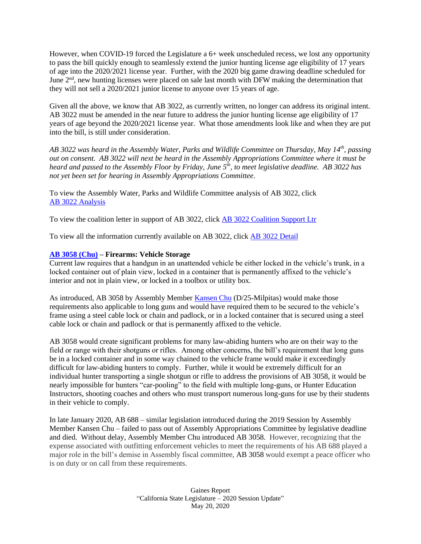However, when COVID-19 forced the Legislature a 6+ week unscheduled recess, we lost any opportunity to pass the bill quickly enough to seamlessly extend the junior hunting license age eligibility of 17 years of age into the 2020/2021 license year. Further, with the 2020 big game drawing deadline scheduled for June 2<sup>nd</sup>, new hunting licenses were placed on sale last month with DFW making the determination that they will not sell a 2020/2021 junior license to anyone over 15 years of age.

Given all the above, we know that AB 3022, as currently written, no longer can address its original intent. AB 3022 must be amended in the near future to address the junior hunting license age eligibility of 17 years of age beyond the 2020/2021 license year. What those amendments look like and when they are put into the bill, is still under consideration.

*AB 3022 was heard in the Assembly Water, Parks and Wildlife Committee on Thursday, May 14th, passing out on consent. AB 3022 will next be heard in the Assembly Appropriations Committee where it must be heard and passed to the Assembly Floor by Friday, June 5th , to meet legislative deadline. AB 3022 has not yet been set for hearing in Assembly Appropriations Committee.*

To view the Assembly Water, Parks and Wildlife Committee analysis of AB 3022, click [AB 3022](http://leginfo.legislature.ca.gov/faces/billAnalysisClient.xhtml?bill_id=201920200AB3022) Analysis

To view the coalition letter in support of AB 3022, click [AB 3022 Coalition Support Ltr](https://documentcloud.adobe.com/link/track?uri=urn%3Aaaid%3Ascds%3AUS%3A9c60d53e-e03b-4ceb-8c6e-eb5ef4dc9764)

To view all the information currently available on AB 3022, click [AB 3022](http://leginfo.legislature.ca.gov/faces/billTextClient.xhtml?bill_id=201920200AB3022) Detail

## **[AB 3058 \(Chu\)](http://leginfo.legislature.ca.gov/faces/billPdf.xhtml?bill_id=201920200AB3058&version=20190AB305899INT) – Firearms: Vehicle Storage**

Current law requires that a handgun in an unattended vehicle be either locked in the vehicle's trunk, in a locked container out of plain view, locked in a container that is permanently affixed to the vehicle's interior and not in plain view, or locked in a toolbox or utility box.

As introduced, AB 3058 by Assembly Member [Kansen Chu](https://a25.asmdc.org/) (D/25-Milpitas) would make those requirements also applicable to long guns and would have required them to be secured to the vehicle's frame using a steel cable lock or chain and padlock, or in a locked container that is secured using a steel cable lock or chain and padlock or that is permanently affixed to the vehicle.

AB 3058 would create significant problems for many law-abiding hunters who are on their way to the field or range with their shotguns or rifles. Among other concerns, the bill's requirement that long guns be in a locked container and in some way chained to the vehicle frame would make it exceedingly difficult for law-abiding hunters to comply. Further, while it would be extremely difficult for an individual hunter transporting a single shotgun or rifle to address the provisions of AB 3058, it would be nearly impossible for hunters "car-pooling" to the field with multiple long-guns, or Hunter Education Instructors, shooting coaches and others who must transport numerous long-guns for use by their students in their vehicle to comply.

In late January 2020, AB 688 – similar legislation introduced during the 2019 Session by Assembly Member [Kansen Chu –](https://a25.asmdc.org/) failed to pass out of Assembly Appropriations Committee by legislative deadline and died. Without delay, Assembly Member Chu introduced AB 3058. However, recognizing that the expense associated with outfitting enforcement vehicles to meet the requirements of his AB 688 played a major role in the bill's demise in Assembly fiscal committee, AB 3058 would exempt a peace officer who is on duty or on call from these requirements.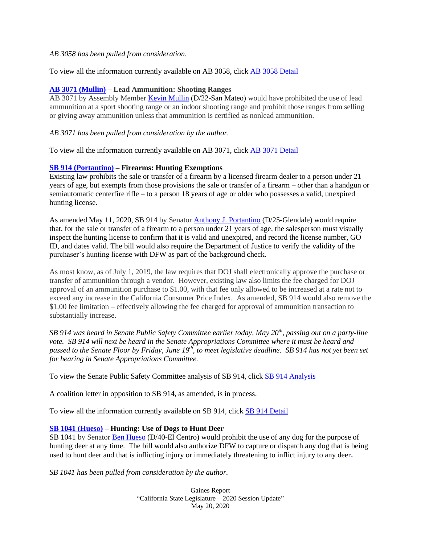#### *AB 3058 has been pulled from consideration*.

To view all the information currently available on AB 3058, click [AB 3058](http://leginfo.legislature.ca.gov/faces/billTextClient.xhtml?bill_id=201920200AB3058) Detail

## **[AB 3071 \(Mullin\)](http://leginfo.legislature.ca.gov/faces/billPdf.xhtml?bill_id=201920200AB3071&version=20190AB307199INT) – Lead Ammunition: Shooting Ranges**

AB 3071 by Assembly Member [Kevin Mullin](https://a22.asmdc.org/) (D/22-San Mateo) would have prohibited the use of lead ammunition at a sport shooting range or an indoor shooting range and prohibit those ranges from selling or giving away ammunition unless that ammunition is certified as nonlead ammunition.

#### *AB 3071 has been pulled from consideration by the author.*

To view all the information currently available on AB 3071, click [AB 3071](http://leginfo.legislature.ca.gov/faces/billTextClient.xhtml?bill_id=201920200AB3071) Detail

## **[SB 914 \(Portantino\)](https://leginfo.legislature.ca.gov/faces/billPdf.xhtml?bill_id=201920200SB914&version=20190SB91496AMD) – Firearms: Hunting Exemptions**

Existing law prohibits the sale or transfer of a firearm by a licensed firearm dealer to a person under 21 years of age, but exempts from those provisions the sale or transfer of a firearm – other than a handgun or semiautomatic centerfire rifle – to a person 18 years of age or older who possesses a valid, unexpired hunting license.

As amended May 11, 2020, SB 914 by Senator [Anthony J. Portantino](http://sd25.senate.ca.gov/) (D/25-Glendale) would require that, for the sale or transfer of a firearm to a person under 21 years of age, the salesperson must visually inspect the hunting license to confirm that it is valid and unexpired, and record the license number, GO ID, and dates valid. The bill would also require the Department of Justice to verify the validity of the purchaser's hunting license with DFW as part of the background check.

As most know, as of July 1, 2019, the law requires that DOJ shall electronically approve the purchase or transfer of ammunition through a vendor. However, existing law also limits the fee charged for DOJ approval of an ammunition purchase to \$1.00, with that fee only allowed to be increased at a rate not to exceed any increase in the California Consumer Price Index. As amended, SB 914 would also remove the \$1.00 fee limitation – effectively allowing the fee charged for approval of ammunition transaction to substantially increase.

*SB 914 was heard in Senate Public Safety Committee earlier today, May 20 th , passing out on a party-line vote. SB 914 will next be heard in the Senate Appropriations Committee where it must be heard and passed to the Senate Floor by Friday, June 19th , to meet legislative deadline. SB 914 has not yet been set for hearing in Senate Appropriations Committee.*

To view the Senate Public Safety Committee analysis of SB 914, click SB 914 [Analysis](http://leginfo.legislature.ca.gov/faces/billAnalysisClient.xhtml?bill_id=201920200SB914)

A coalition letter in opposition to SB 914, as amended, is in process.

To view all the information currently available on SB 914, click [SB 914](http://leginfo.legislature.ca.gov/faces/billTextClient.xhtml?bill_id=201920200SB914) Detail

## **[SB 1041 \(Hueso\)](http://leginfo.legislature.ca.gov/faces/billPdf.xhtml?bill_id=201920200SB1041&version=20190SB104199INT) – Hunting: Use of Dogs to Hunt Deer**

SB 1041 by Senator [Ben Hueso](http://sd40.senate.ca.gov/) (D/40-El Centro) would prohibit the use of any dog for the purpose of hunting deer at any time. The bill would also authorize DFW to capture or dispatch any dog that is being used to hunt deer and that is inflicting injury or immediately threatening to inflict injury to any deer*.*

*SB 1041 has been pulled from consideration by the author.*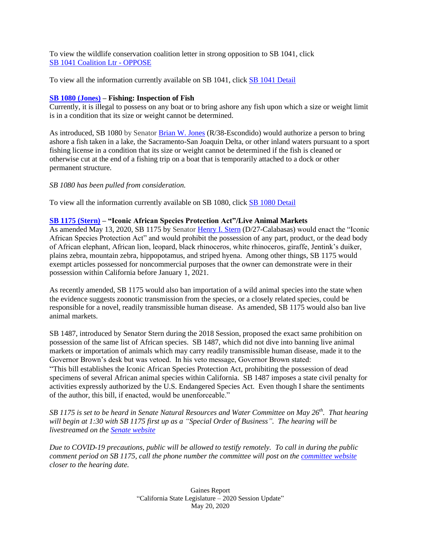To view the wildlife conservation coalition letter in strong opposition to SB 1041, click [SB 1041 Coalition Ltr -](https://documentcloud.adobe.com/link/track?uri=urn%3Aaaid%3Ascds%3AUS%3Ab428cc6b-1e9f-4bce-a992-d6369e8b066a) OPPOSE

To view all the information currently available on SB 1041, click [SB 1041 Detail](http://leginfo.legislature.ca.gov/faces/billNavClient.xhtml?bill_id=201920200SB1041)

## **[SB 1080 \(Jones\)](http://leginfo.legislature.ca.gov/faces/billPdf.xhtml?bill_id=201920200SB1080&version=20190SB108099INT) – Fishing: Inspection of Fish**

Currently, it is illegal to possess on any boat or to bring ashore any fish upon which a size or weight limit is in a condition that its size or weight cannot be determined.

As introduced, SB 1080 by Senator [Brian W. Jones](https://senate.ca.gov/sd38) (R/38-Escondido) would authorize a person to bring ashore a fish taken in a lake, the Sacramento-San Joaquin Delta, or other inland waters pursuant to a sport fishing license in a condition that its size or weight cannot be determined if the fish is cleaned or otherwise cut at the end of a fishing trip on a boat that is temporarily attached to a dock or other permanent structure.

## *SB 1080 has been pulled from consideration.*

To view all the information currently available on SB 1080, click [SB 1080 Detail](http://leginfo.legislature.ca.gov/faces/billNavClient.xhtml?bill_id=201920200SB1080)

## **[SB 1175 \(Stern\)](https://leginfo.legislature.ca.gov/faces/billPdf.xhtml?bill_id=201920200SB1175&version=20190SB117598AMD) – "Iconic African Species Protection Act"/Live Animal Markets**

As amended May 13, 2020, SB 1175 by Senator [Henry I. Stern](http://sd27.senate.ca.gov/) (D/27-Calabasas) would enact the "Iconic African Species Protection Act" and would prohibit the possession of any part, product, or the dead body of African elephant, African lion, leopard, black rhinoceros, white rhinoceros, giraffe, Jentink's duiker, plains zebra, mountain zebra, hippopotamus, and striped hyena. Among other things, SB 1175 would exempt articles possessed for noncommercial purposes that the owner can demonstrate were in their possession within California before January 1, 2021.

As recently amended, SB 1175 would also ban importation of a wild animal species into the state when the evidence suggests zoonotic transmission from the species, or a closely related species, could be responsible for a novel, readily transmissible human disease. As amended, SB 1175 would also ban live animal markets.

SB 1487, introduced by Senator Stern during the 2018 Session, proposed the exact same prohibition on possession of the same list of African species. SB 1487, which did not dive into banning live animal markets or importation of animals which may carry readily transmissible human disease, made it to the Governor Brown's desk but was vetoed. In his veto message, Governor Brown stated:

"This bill establishes the Iconic African Species Protection Act, prohibiting the possession of dead specimens of several African animal species within California. SB 1487 imposes a state civil penalty for activities expressly authorized by the U.S. Endangered Species Act. Even though I share the sentiments of the author, this bill, if enacted, would be unenforceable."

*SB 1175 is set to be heard in Senate Natural Resources and Water Committee on May 26 th. That hearing will begin at 1:30 with SB 1175 first up as a "Special Order of Business". The hearing will be livestreamed on the [Senate website](http://www.sen.ca.gov/)* 

*Due to COVID-19 precautions, public will be allowed to testify remotely. To call in during the public comment period on SB 1175, call the phone number the committee will post on the [committee website](https://sntr.senate.ca.gov/) closer to the hearing date.*